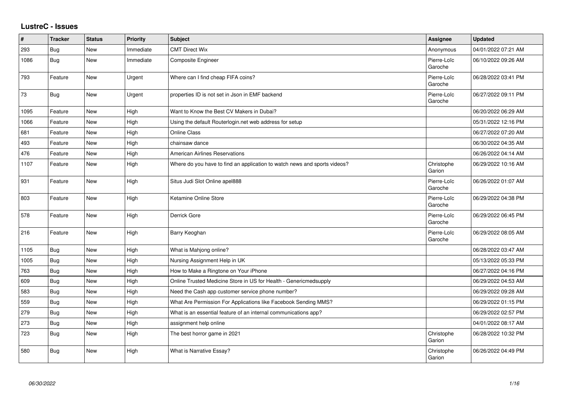## **LustreC - Issues**

| $\vert$ # | <b>Tracker</b> | <b>Status</b> | <b>Priority</b> | <b>Subject</b>                                                            | <b>Assignee</b>        | <b>Updated</b>      |
|-----------|----------------|---------------|-----------------|---------------------------------------------------------------------------|------------------------|---------------------|
| 293       | <b>Bug</b>     | <b>New</b>    | Immediate       | <b>CMT Direct Wix</b>                                                     | Anonymous              | 04/01/2022 07:21 AM |
| 1086      | <b>Bug</b>     | New           | Immediate       | <b>Composite Engineer</b>                                                 | Pierre-Loïc<br>Garoche | 06/10/2022 09:26 AM |
| 793       | Feature        | <b>New</b>    | Urgent          | Where can I find cheap FIFA coins?                                        | Pierre-Loïc<br>Garoche | 06/28/2022 03:41 PM |
| 73        | Bug            | New           | Urgent          | properties ID is not set in Json in EMF backend                           | Pierre-Loïc<br>Garoche | 06/27/2022 09:11 PM |
| 1095      | Feature        | New           | High            | Want to Know the Best CV Makers in Dubai?                                 |                        | 06/20/2022 06:29 AM |
| 1066      | Feature        | <b>New</b>    | High            | Using the default Routerlogin.net web address for setup                   |                        | 05/31/2022 12:16 PM |
| 681       | Feature        | <b>New</b>    | High            | <b>Online Class</b>                                                       |                        | 06/27/2022 07:20 AM |
| 493       | Feature        | <b>New</b>    | High            | chainsaw dance                                                            |                        | 06/30/2022 04:35 AM |
| 476       | Feature        | New           | High            | <b>American Airlines Reservations</b>                                     |                        | 06/26/2022 04:14 AM |
| 1107      | Feature        | <b>New</b>    | High            | Where do you have to find an application to watch news and sports videos? | Christophe<br>Garion   | 06/29/2022 10:16 AM |
| 931       | Feature        | <b>New</b>    | High            | Situs Judi Slot Online apel888                                            | Pierre-Loïc<br>Garoche | 06/26/2022 01:07 AM |
| 803       | Feature        | New           | High            | Ketamine Online Store                                                     | Pierre-Loïc<br>Garoche | 06/29/2022 04:38 PM |
| 578       | Feature        | New           | High            | Derrick Gore                                                              | Pierre-Loïc<br>Garoche | 06/29/2022 06:45 PM |
| 216       | Feature        | New           | High            | Barry Keoghan                                                             | Pierre-Loïc<br>Garoche | 06/29/2022 08:05 AM |
| 1105      | <b>Bug</b>     | New           | High            | What is Mahjong online?                                                   |                        | 06/28/2022 03:47 AM |
| 1005      | <b>Bug</b>     | <b>New</b>    | High            | Nursing Assignment Help in UK                                             |                        | 05/13/2022 05:33 PM |
| 763       | <b>Bug</b>     | New           | High            | How to Make a Ringtone on Your iPhone                                     |                        | 06/27/2022 04:16 PM |
| 609       | <b>Bug</b>     | New           | High            | Online Trusted Medicine Store in US for Health - Genericmedsupply         |                        | 06/29/2022 04:53 AM |
| 583       | <b>Bug</b>     | New           | High            | Need the Cash app customer service phone number?                          |                        | 06/29/2022 09:28 AM |
| 559       | Bug            | New           | High            | What Are Permission For Applications like Facebook Sending MMS?           |                        | 06/29/2022 01:15 PM |
| 279       | Bug            | <b>New</b>    | High            | What is an essential feature of an internal communications app?           |                        | 06/29/2022 02:57 PM |
| 273       | <b>Bug</b>     | New           | High            | assignment help online                                                    |                        | 04/01/2022 08:17 AM |
| 723       | <b>Bug</b>     | New           | High            | The best horror game in 2021                                              | Christophe<br>Garion   | 06/28/2022 10:32 PM |
| 580       | Bug            | New           | High            | What is Narrative Essay?                                                  | Christophe<br>Garion   | 06/26/2022 04:49 PM |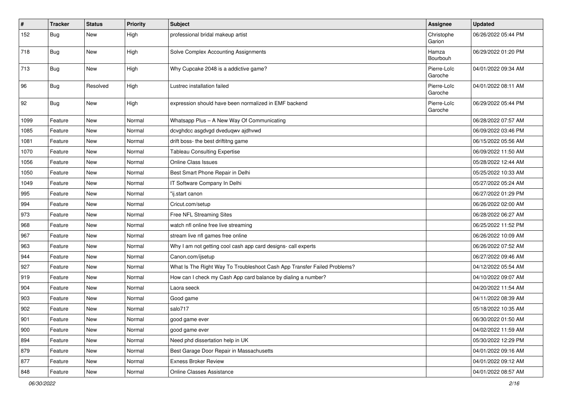| $\vert$ # | <b>Tracker</b> | <b>Status</b> | <b>Priority</b> | <b>Subject</b>                                                           | <b>Assignee</b>        | <b>Updated</b>      |
|-----------|----------------|---------------|-----------------|--------------------------------------------------------------------------|------------------------|---------------------|
| 152       | <b>Bug</b>     | New           | High            | professional bridal makeup artist                                        | Christophe<br>Garion   | 06/26/2022 05:44 PM |
| 718       | Bug            | New           | High            | Solve Complex Accounting Assignments                                     | Hamza<br>Bourbouh      | 06/29/2022 01:20 PM |
| 713       | Bug            | New           | High            | Why Cupcake 2048 is a addictive game?                                    | Pierre-Loïc<br>Garoche | 04/01/2022 09:34 AM |
| 96        | Bug            | Resolved      | High            | Lustrec installation failed                                              | Pierre-Loïc<br>Garoche | 04/01/2022 08:11 AM |
| 92        | <b>Bug</b>     | New           | High            | expression should have been normalized in EMF backend                    | Pierre-Loïc<br>Garoche | 06/29/2022 05:44 PM |
| 1099      | Feature        | New           | Normal          | Whatsapp Plus - A New Way Of Communicating                               |                        | 06/28/2022 07:57 AM |
| 1085      | Feature        | New           | Normal          | dcvghdcc asgdvgd dveduqwv ajdhvwd                                        |                        | 06/09/2022 03:46 PM |
| 1081      | Feature        | New           | Normal          | drift boss- the best driftitng game                                      |                        | 06/15/2022 05:56 AM |
| 1070      | Feature        | New           | Normal          | <b>Tableau Consulting Expertise</b>                                      |                        | 06/09/2022 11:50 AM |
| 1056      | Feature        | New           | Normal          | <b>Online Class Issues</b>                                               |                        | 05/28/2022 12:44 AM |
| 1050      | Feature        | New           | Normal          | Best Smart Phone Repair in Delhi                                         |                        | 05/25/2022 10:33 AM |
| 1049      | Feature        | New           | Normal          | IT Software Company In Delhi                                             |                        | 05/27/2022 05:24 AM |
| 995       | Feature        | New           | Normal          | "ij.start canon                                                          |                        | 06/27/2022 01:29 PM |
| 994       | Feature        | New           | Normal          | Cricut.com/setup                                                         |                        | 06/26/2022 02:00 AM |
| 973       | Feature        | New           | Normal          | Free NFL Streaming Sites                                                 |                        | 06/28/2022 06:27 AM |
| 968       | Feature        | New           | Normal          | watch nfl online free live streaming                                     |                        | 06/25/2022 11:52 PM |
| 967       | Feature        | New           | Normal          | stream live nfl games free online                                        |                        | 06/26/2022 10:09 AM |
| 963       | Feature        | New           | Normal          | Why I am not getting cool cash app card designs- call experts            |                        | 06/26/2022 07:52 AM |
| 944       | Feature        | New           | Normal          | Canon.com/ijsetup                                                        |                        | 06/27/2022 09:46 AM |
| 927       | Feature        | New           | Normal          | What Is The Right Way To Troubleshoot Cash App Transfer Failed Problems? |                        | 04/12/2022 05:54 AM |
| 919       | Feature        | New           | Normal          | How can I check my Cash App card balance by dialing a number?            |                        | 04/10/2022 09:07 AM |
| 904       | Feature        | New           | Normal          | Laora seeck                                                              |                        | 04/20/2022 11:54 AM |
| 903       | Feature        | New           | Normal          | Good game                                                                |                        | 04/11/2022 08:39 AM |
| 902       | Feature        | New           | Normal          | salo717                                                                  |                        | 05/18/2022 10:35 AM |
| 901       | Feature        | New           | Normal          | good game ever                                                           |                        | 06/30/2022 01:50 AM |
| 900       | Feature        | New           | Normal          | good game ever                                                           |                        | 04/02/2022 11:59 AM |
| 894       | Feature        | New           | Normal          | Need phd dissertation help in UK                                         |                        | 05/30/2022 12:29 PM |
| 879       | Feature        | New           | Normal          | Best Garage Door Repair in Massachusetts                                 |                        | 04/01/2022 09:16 AM |
| 877       | Feature        | New           | Normal          | <b>Exness Broker Review</b>                                              |                        | 04/01/2022 09:12 AM |
| 848       | Feature        | New           | Normal          | Online Classes Assistance                                                |                        | 04/01/2022 08:57 AM |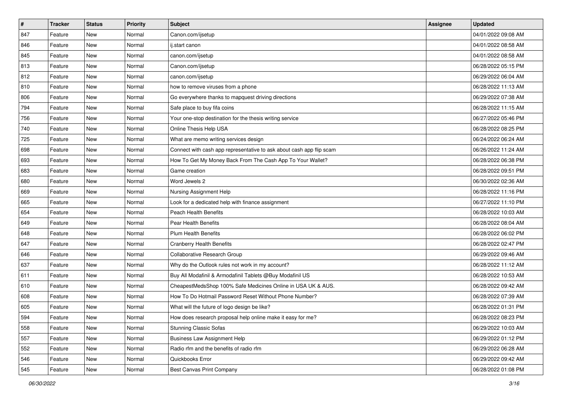| $\sharp$ | <b>Tracker</b> | <b>Status</b> | <b>Priority</b> | Subject                                                              | <b>Assignee</b> | <b>Updated</b>      |
|----------|----------------|---------------|-----------------|----------------------------------------------------------------------|-----------------|---------------------|
| 847      | Feature        | New           | Normal          | Canon.com/ijsetup                                                    |                 | 04/01/2022 09:08 AM |
| 846      | Feature        | <b>New</b>    | Normal          | ij.start canon                                                       |                 | 04/01/2022 08:58 AM |
| 845      | Feature        | New           | Normal          | canon.com/ijsetup                                                    |                 | 04/01/2022 08:58 AM |
| 813      | Feature        | New           | Normal          | Canon.com/ijsetup                                                    |                 | 06/28/2022 05:15 PM |
| 812      | Feature        | New           | Normal          | canon.com/ijsetup                                                    |                 | 06/29/2022 06:04 AM |
| 810      | Feature        | New           | Normal          | how to remove viruses from a phone                                   |                 | 06/28/2022 11:13 AM |
| 806      | Feature        | <b>New</b>    | Normal          | Go everywhere thanks to mapquest driving directions                  |                 | 06/29/2022 07:38 AM |
| 794      | Feature        | New           | Normal          | Safe place to buy fifa coins                                         |                 | 06/28/2022 11:15 AM |
| 756      | Feature        | New           | Normal          | Your one-stop destination for the thesis writing service             |                 | 06/27/2022 05:46 PM |
| 740      | Feature        | New           | Normal          | Online Thesis Help USA                                               |                 | 06/28/2022 08:25 PM |
| 725      | Feature        | New           | Normal          | What are memo writing services design                                |                 | 06/24/2022 06:24 AM |
| 698      | Feature        | New           | Normal          | Connect with cash app representative to ask about cash app flip scam |                 | 06/26/2022 11:24 AM |
| 693      | Feature        | New           | Normal          | How To Get My Money Back From The Cash App To Your Wallet?           |                 | 06/28/2022 06:38 PM |
| 683      | Feature        | New           | Normal          | Game creation                                                        |                 | 06/28/2022 09:51 PM |
| 680      | Feature        | New           | Normal          | Word Jewels 2                                                        |                 | 06/30/2022 02:36 AM |
| 669      | Feature        | New           | Normal          | Nursing Assignment Help                                              |                 | 06/28/2022 11:16 PM |
| 665      | Feature        | New           | Normal          | Look for a dedicated help with finance assignment                    |                 | 06/27/2022 11:10 PM |
| 654      | Feature        | New           | Normal          | <b>Peach Health Benefits</b>                                         |                 | 06/28/2022 10:03 AM |
| 649      | Feature        | New           | Normal          | Pear Health Benefits                                                 |                 | 06/28/2022 08:04 AM |
| 648      | Feature        | <b>New</b>    | Normal          | <b>Plum Health Benefits</b>                                          |                 | 06/28/2022 06:02 PM |
| 647      | Feature        | New           | Normal          | <b>Cranberry Health Benefits</b>                                     |                 | 06/28/2022 02:47 PM |
| 646      | Feature        | New           | Normal          | Collaborative Research Group                                         |                 | 06/29/2022 09:46 AM |
| 637      | Feature        | New           | Normal          | Why do the Outlook rules not work in my account?                     |                 | 06/28/2022 11:12 AM |
| 611      | Feature        | New           | Normal          | Buy All Modafinil & Armodafinil Tablets @Buy Modafinil US            |                 | 06/28/2022 10:53 AM |
| 610      | Feature        | <b>New</b>    | Normal          | CheapestMedsShop 100% Safe Medicines Online in USA UK & AUS.         |                 | 06/28/2022 09:42 AM |
| 608      | Feature        | New           | Normal          | How To Do Hotmail Password Reset Without Phone Number?               |                 | 06/28/2022 07:39 AM |
| 605      | Feature        | <b>New</b>    | Normal          | What will the future of logo design be like?                         |                 | 06/28/2022 01:31 PM |
| 594      | Feature        | New           | Normal          | How does research proposal help online make it easy for me?          |                 | 06/28/2022 08:23 PM |
| 558      | Feature        | New           | Normal          | <b>Stunning Classic Sofas</b>                                        |                 | 06/29/2022 10:03 AM |
| 557      | Feature        | New           | Normal          | <b>Business Law Assignment Help</b>                                  |                 | 06/29/2022 01:12 PM |
| 552      | Feature        | New           | Normal          | Radio rfm and the benefits of radio rfm                              |                 | 06/29/2022 06:28 AM |
| 546      | Feature        | New           | Normal          | Quickbooks Error                                                     |                 | 06/29/2022 09:42 AM |
| 545      | Feature        | New           | Normal          | <b>Best Canvas Print Company</b>                                     |                 | 06/28/2022 01:08 PM |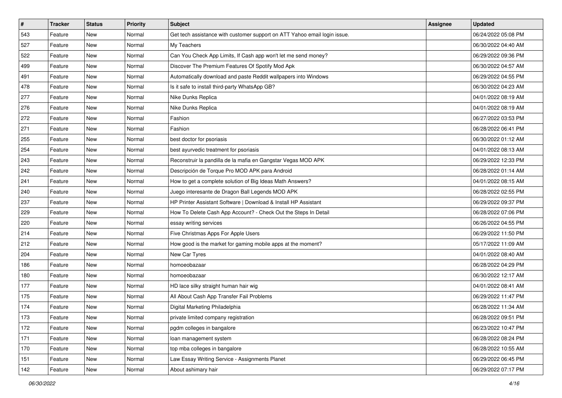| $\vert$ # | <b>Tracker</b> | <b>Status</b> | <b>Priority</b> | <b>Subject</b>                                                            | <b>Assignee</b> | <b>Updated</b>      |
|-----------|----------------|---------------|-----------------|---------------------------------------------------------------------------|-----------------|---------------------|
| 543       | Feature        | New           | Normal          | Get tech assistance with customer support on ATT Yahoo email login issue. |                 | 06/24/2022 05:08 PM |
| 527       | Feature        | New           | Normal          | My Teachers                                                               |                 | 06/30/2022 04:40 AM |
| 522       | Feature        | New           | Normal          | Can You Check App Limits, If Cash app won't let me send money?            |                 | 06/29/2022 09:36 PM |
| 499       | Feature        | New           | Normal          | Discover The Premium Features Of Spotify Mod Apk                          |                 | 06/30/2022 04:57 AM |
| 491       | Feature        | New           | Normal          | Automatically download and paste Reddit wallpapers into Windows           |                 | 06/29/2022 04:55 PM |
| 478       | Feature        | New           | Normal          | Is it safe to install third-party WhatsApp GB?                            |                 | 06/30/2022 04:23 AM |
| 277       | Feature        | New           | Normal          | Nike Dunks Replica                                                        |                 | 04/01/2022 08:19 AM |
| 276       | Feature        | New           | Normal          | Nike Dunks Replica                                                        |                 | 04/01/2022 08:19 AM |
| 272       | Feature        | New           | Normal          | Fashion                                                                   |                 | 06/27/2022 03:53 PM |
| 271       | Feature        | <b>New</b>    | Normal          | Fashion                                                                   |                 | 06/28/2022 06:41 PM |
| 255       | Feature        | New           | Normal          | best doctor for psoriasis                                                 |                 | 06/30/2022 01:12 AM |
| 254       | Feature        | New           | Normal          | best ayurvedic treatment for psoriasis                                    |                 | 04/01/2022 08:13 AM |
| 243       | Feature        | <b>New</b>    | Normal          | Reconstruir la pandilla de la mafia en Gangstar Vegas MOD APK             |                 | 06/29/2022 12:33 PM |
| 242       | Feature        | New           | Normal          | Descripción de Torque Pro MOD APK para Android                            |                 | 06/28/2022 01:14 AM |
| 241       | Feature        | New           | Normal          | How to get a complete solution of Big Ideas Math Answers?                 |                 | 04/01/2022 08:15 AM |
| 240       | Feature        | New           | Normal          | Juego interesante de Dragon Ball Legends MOD APK                          |                 | 06/28/2022 02:55 PM |
| 237       | Feature        | New           | Normal          | HP Printer Assistant Software   Download & Install HP Assistant           |                 | 06/29/2022 09:37 PM |
| 229       | Feature        | New           | Normal          | How To Delete Cash App Account? - Check Out the Steps In Detail           |                 | 06/28/2022 07:06 PM |
| 220       | Feature        | New           | Normal          | essay writing services                                                    |                 | 06/26/2022 04:55 PM |
| 214       | Feature        | New           | Normal          | Five Christmas Apps For Apple Users                                       |                 | 06/29/2022 11:50 PM |
| 212       | Feature        | New           | Normal          | How good is the market for gaming mobile apps at the moment?              |                 | 05/17/2022 11:09 AM |
| 204       | Feature        | New           | Normal          | New Car Tyres                                                             |                 | 04/01/2022 08:40 AM |
| 186       | Feature        | <b>New</b>    | Normal          | homoeobazaar                                                              |                 | 06/28/2022 04:29 PM |
| 180       | Feature        | New           | Normal          | homoeobazaar                                                              |                 | 06/30/2022 12:17 AM |
| 177       | Feature        | New           | Normal          | HD lace silky straight human hair wig                                     |                 | 04/01/2022 08:41 AM |
| 175       | Feature        | New           | Normal          | All About Cash App Transfer Fail Problems                                 |                 | 06/29/2022 11:47 PM |
| 174       | Feature        | New           | Normal          | Digital Marketing Philadelphia                                            |                 | 06/28/2022 11:34 AM |
| 173       | Feature        | New           | Normal          | private limited company registration                                      |                 | 06/28/2022 09:51 PM |
| 172       | Feature        | New           | Normal          | pgdm colleges in bangalore                                                |                 | 06/23/2022 10:47 PM |
| 171       | Feature        | New           | Normal          | loan management system                                                    |                 | 06/28/2022 08:24 PM |
| 170       | Feature        | New           | Normal          | top mba colleges in bangalore                                             |                 | 06/28/2022 10:55 AM |
| 151       | Feature        | New           | Normal          | Law Essay Writing Service - Assignments Planet                            |                 | 06/29/2022 06:45 PM |
| 142       | Feature        | New           | Normal          | About ashimary hair                                                       |                 | 06/29/2022 07:17 PM |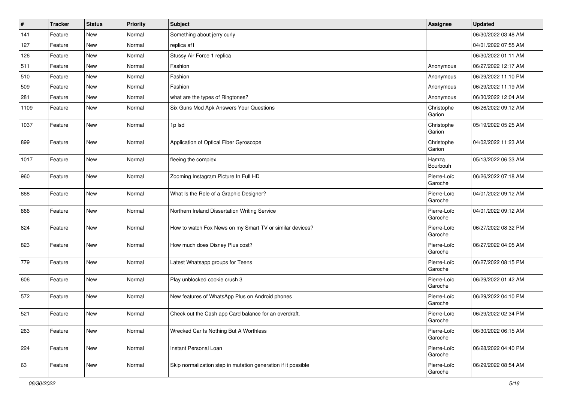| $\vert$ # | <b>Tracker</b> | <b>Status</b> | <b>Priority</b> | <b>Subject</b>                                                | <b>Assignee</b>        | <b>Updated</b>      |
|-----------|----------------|---------------|-----------------|---------------------------------------------------------------|------------------------|---------------------|
| 141       | Feature        | New           | Normal          | Something about jerry curly                                   |                        | 06/30/2022 03:48 AM |
| 127       | Feature        | New           | Normal          | replica af1                                                   |                        | 04/01/2022 07:55 AM |
| 126       | Feature        | New           | Normal          | Stussy Air Force 1 replica                                    |                        | 06/30/2022 01:11 AM |
| 511       | Feature        | New           | Normal          | Fashion                                                       | Anonymous              | 06/27/2022 12:17 AM |
| 510       | Feature        | New           | Normal          | Fashion                                                       | Anonymous              | 06/29/2022 11:10 PM |
| 509       | Feature        | New           | Normal          | Fashion                                                       | Anonymous              | 06/29/2022 11:19 AM |
| 281       | Feature        | New           | Normal          | what are the types of Ringtones?                              | Anonymous              | 06/30/2022 12:04 AM |
| 1109      | Feature        | New           | Normal          | Six Guns Mod Apk Answers Your Questions                       | Christophe<br>Garion   | 06/26/2022 09:12 AM |
| 1037      | Feature        | New           | Normal          | 1p lsd                                                        | Christophe<br>Garion   | 05/19/2022 05:25 AM |
| 899       | Feature        | New           | Normal          | Application of Optical Fiber Gyroscope                        | Christophe<br>Garion   | 04/02/2022 11:23 AM |
| 1017      | Feature        | <b>New</b>    | Normal          | fleeing the complex                                           | Hamza<br>Bourbouh      | 05/13/2022 06:33 AM |
| 960       | Feature        | <b>New</b>    | Normal          | Zooming Instagram Picture In Full HD                          | Pierre-Loïc<br>Garoche | 06/26/2022 07:18 AM |
| 868       | Feature        | <b>New</b>    | Normal          | What Is the Role of a Graphic Designer?                       | Pierre-Loïc<br>Garoche | 04/01/2022 09:12 AM |
| 866       | Feature        | New           | Normal          | Northern Ireland Dissertation Writing Service                 | Pierre-Loïc<br>Garoche | 04/01/2022 09:12 AM |
| 824       | Feature        | New           | Normal          | How to watch Fox News on my Smart TV or similar devices?      | Pierre-Loïc<br>Garoche | 06/27/2022 08:32 PM |
| 823       | Feature        | New           | Normal          | How much does Disney Plus cost?                               | Pierre-Loïc<br>Garoche | 06/27/2022 04:05 AM |
| 779       | Feature        | <b>New</b>    | Normal          | Latest Whatsapp groups for Teens                              | Pierre-Loïc<br>Garoche | 06/27/2022 08:15 PM |
| 606       | Feature        | New           | Normal          | Play unblocked cookie crush 3                                 | Pierre-Loïc<br>Garoche | 06/29/2022 01:42 AM |
| 572       | Feature        | New           | Normal          | New features of WhatsApp Plus on Android phones               | Pierre-Loïc<br>Garoche | 06/29/2022 04:10 PM |
| 521       | Feature        | New           | Normal          | Check out the Cash app Card balance for an overdraft.         | Pierre-Loïc<br>Garoche | 06/29/2022 02:34 PM |
| 263       | Feature        | New           | Normal          | Wrecked Car Is Nothing But A Worthless                        | Pierre-Loïc<br>Garoche | 06/30/2022 06:15 AM |
| 224       | Feature        | New           | Normal          | Instant Personal Loan                                         | Pierre-Loïc<br>Garoche | 06/28/2022 04:40 PM |
| 63        | Feature        | New           | Normal          | Skip normalization step in mutation generation if it possible | Pierre-Loïc<br>Garoche | 06/29/2022 08:54 AM |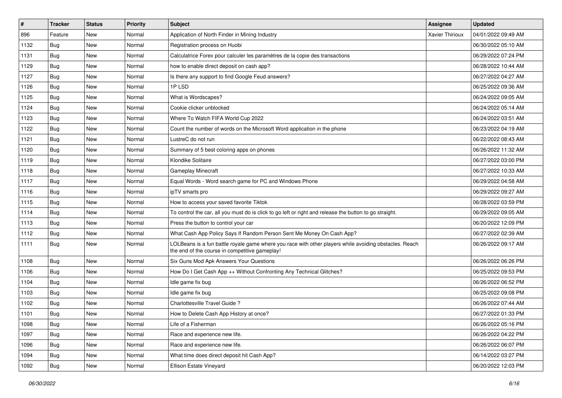| $\vert$ # | <b>Tracker</b> | <b>Status</b> | <b>Priority</b> | <b>Subject</b>                                                                                                                                           | <b>Assignee</b>        | <b>Updated</b>      |
|-----------|----------------|---------------|-----------------|----------------------------------------------------------------------------------------------------------------------------------------------------------|------------------------|---------------------|
| 896       | Feature        | New           | Normal          | Application of North Finder in Mining Industry                                                                                                           | <b>Xavier Thirioux</b> | 04/01/2022 09:49 AM |
| 1132      | <b>Bug</b>     | New           | Normal          | Registration process on Huobi                                                                                                                            |                        | 06/30/2022 05:10 AM |
| 1131      | <b>Bug</b>     | New           | Normal          | Calculatrice Forex pour calculer les paramètres de la copie des transactions                                                                             |                        | 06/29/2022 07:24 PM |
| 1129      | Bug            | New           | Normal          | how to enable direct deposit on cash app?                                                                                                                |                        | 06/28/2022 10:44 AM |
| 1127      | Bug            | <b>New</b>    | Normal          | Is there any support to find Google Feud answers?                                                                                                        |                        | 06/27/2022 04:27 AM |
| 1126      | Bug            | New           | Normal          | 1PLSD                                                                                                                                                    |                        | 06/25/2022 09:36 AM |
| 1125      | Bug            | New           | Normal          | What is Wordscapes?                                                                                                                                      |                        | 06/24/2022 09:05 AM |
| 1124      | Bug            | New           | Normal          | Cookie clicker unblocked                                                                                                                                 |                        | 06/24/2022 05:14 AM |
| 1123      | Bug            | New           | Normal          | Where To Watch FIFA World Cup 2022                                                                                                                       |                        | 06/24/2022 03:51 AM |
| 1122      | Bug            | New           | Normal          | Count the number of words on the Microsoft Word application in the phone                                                                                 |                        | 06/23/2022 04:19 AM |
| 1121      | <b>Bug</b>     | New           | Normal          | LustreC do not run                                                                                                                                       |                        | 06/22/2022 08:43 AM |
| 1120      | Bug            | New           | Normal          | Summary of 5 best coloring apps on phones                                                                                                                |                        | 06/26/2022 11:32 AM |
| 1119      | Bug            | New           | Normal          | Klondike Solitaire                                                                                                                                       |                        | 06/27/2022 03:00 PM |
| 1118      | Bug            | New           | Normal          | Gameplay Minecraft                                                                                                                                       |                        | 06/27/2022 10:33 AM |
| 1117      | Bug            | New           | Normal          | Equal Words - Word search game for PC and Windows Phone                                                                                                  |                        | 06/29/2022 04:58 AM |
| 1116      | Bug            | New           | Normal          | ipTV smarts pro                                                                                                                                          |                        | 06/29/2022 09:27 AM |
| 1115      | Bug            | New           | Normal          | How to access your saved favorite Tiktok                                                                                                                 |                        | 06/28/2022 03:59 PM |
| 1114      | Bug            | <b>New</b>    | Normal          | To control the car, all you must do is click to go left or right and release the button to go straight.                                                  |                        | 06/29/2022 09:05 AM |
| 1113      | Bug            | New           | Normal          | Press the button to control your car                                                                                                                     |                        | 06/20/2022 12:09 PM |
| 1112      | <b>Bug</b>     | New           | Normal          | What Cash App Policy Says If Random Person Sent Me Money On Cash App?                                                                                    |                        | 06/27/2022 02:39 AM |
| 1111      | Bug            | New           | Normal          | LOLBeans is a fun battle royale game where you race with other players while avoiding obstacles. Reach<br>the end of the course in competitive gameplay! |                        | 06/26/2022 09:17 AM |
| 1108      | Bug            | <b>New</b>    | Normal          | Six Guns Mod Apk Answers Your Questions                                                                                                                  |                        | 06/26/2022 06:26 PM |
| 1106      | <b>Bug</b>     | New           | Normal          | How Do I Get Cash App ++ Without Confronting Any Technical Glitches?                                                                                     |                        | 06/25/2022 09:53 PM |
| 1104      | <b>Bug</b>     | New           | Normal          | Idle game fix bug                                                                                                                                        |                        | 06/26/2022 06:52 PM |
| 1103      | Bug            | <b>New</b>    | Normal          | Idle game fix bug                                                                                                                                        |                        | 06/25/2022 09:08 PM |
| 1102      | <b>Bug</b>     | New           | Normal          | Charlottesville Travel Guide?                                                                                                                            |                        | 06/26/2022 07:44 AM |
| 1101      | <b>Bug</b>     | New           | Normal          | How to Delete Cash App History at once?                                                                                                                  |                        | 06/27/2022 01:33 PM |
| 1098      | <b>Bug</b>     | New           | Normal          | Life of a Fisherman                                                                                                                                      |                        | 06/26/2022 05:16 PM |
| 1097      | <b>Bug</b>     | New           | Normal          | Race and experience new life.                                                                                                                            |                        | 06/26/2022 04:22 PM |
| 1096      | Bug            | New           | Normal          | Race and experience new life.                                                                                                                            |                        | 06/26/2022 06:07 PM |
| 1094      | Bug            | New           | Normal          | What time does direct deposit hit Cash App?                                                                                                              |                        | 06/14/2022 03:27 PM |
| 1092      | <b>Bug</b>     | New           | Normal          | Ellison Estate Vineyard                                                                                                                                  |                        | 06/20/2022 12:03 PM |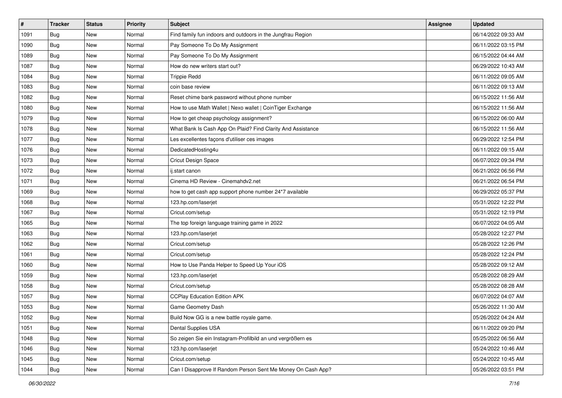| $\pmb{\#}$ | <b>Tracker</b> | <b>Status</b> | <b>Priority</b> | <b>Subject</b>                                               | <b>Assignee</b> | <b>Updated</b>      |
|------------|----------------|---------------|-----------------|--------------------------------------------------------------|-----------------|---------------------|
| 1091       | <b>Bug</b>     | New           | Normal          | Find family fun indoors and outdoors in the Jungfrau Region  |                 | 06/14/2022 09:33 AM |
| 1090       | <b>Bug</b>     | New           | Normal          | Pay Someone To Do My Assignment                              |                 | 06/11/2022 03:15 PM |
| 1089       | Bug            | New           | Normal          | Pay Someone To Do My Assignment                              |                 | 06/15/2022 04:44 AM |
| 1087       | Bug            | New           | Normal          | How do new writers start out?                                |                 | 06/29/2022 10:43 AM |
| 1084       | Bug            | New           | Normal          | <b>Trippie Redd</b>                                          |                 | 06/11/2022 09:05 AM |
| 1083       | <b>Bug</b>     | New           | Normal          | coin base review                                             |                 | 06/11/2022 09:13 AM |
| 1082       | <b>Bug</b>     | New           | Normal          | Reset chime bank password without phone number               |                 | 06/15/2022 11:56 AM |
| 1080       | <b>Bug</b>     | New           | Normal          | How to use Math Wallet   Nexo wallet   CoinTiger Exchange    |                 | 06/15/2022 11:56 AM |
| 1079       | <b>Bug</b>     | New           | Normal          | How to get cheap psychology assignment?                      |                 | 06/15/2022 06:00 AM |
| 1078       | Bug            | New           | Normal          | What Bank Is Cash App On Plaid? Find Clarity And Assistance  |                 | 06/15/2022 11:56 AM |
| 1077       | <b>Bug</b>     | New           | Normal          | Les excellentes façons d'utiliser ces images                 |                 | 06/29/2022 12:54 PM |
| 1076       | <b>Bug</b>     | New           | Normal          | DedicatedHosting4u                                           |                 | 06/11/2022 09:15 AM |
| 1073       | Bug            | New           | Normal          | Cricut Design Space                                          |                 | 06/07/2022 09:34 PM |
| 1072       | Bug            | New           | Normal          | ij.start canon                                               |                 | 06/21/2022 06:56 PM |
| 1071       | Bug            | New           | Normal          | Cinema HD Review - Cinemahdy2.net                            |                 | 06/21/2022 06:54 PM |
| 1069       | Bug            | New           | Normal          | how to get cash app support phone number 24*7 available      |                 | 06/29/2022 05:37 PM |
| 1068       | <b>Bug</b>     | New           | Normal          | 123.hp.com/laserjet                                          |                 | 05/31/2022 12:22 PM |
| 1067       | Bug            | New           | Normal          | Cricut.com/setup                                             |                 | 05/31/2022 12:19 PM |
| 1065       | <b>Bug</b>     | New           | Normal          | The top foreign language training game in 2022               |                 | 06/07/2022 04:05 AM |
| 1063       | <b>Bug</b>     | New           | Normal          | 123.hp.com/laserjet                                          |                 | 05/28/2022 12:27 PM |
| 1062       | <b>Bug</b>     | New           | Normal          | Cricut.com/setup                                             |                 | 05/28/2022 12:26 PM |
| 1061       | <b>Bug</b>     | New           | Normal          | Cricut.com/setup                                             |                 | 05/28/2022 12:24 PM |
| 1060       | Bug            | New           | Normal          | How to Use Panda Helper to Speed Up Your iOS                 |                 | 05/28/2022 09:12 AM |
| 1059       | <b>Bug</b>     | New           | Normal          | 123.hp.com/laserjet                                          |                 | 05/28/2022 08:29 AM |
| 1058       | <b>Bug</b>     | New           | Normal          | Cricut.com/setup                                             |                 | 05/28/2022 08:28 AM |
| 1057       | Bug            | New           | Normal          | <b>CCPlay Education Edition APK</b>                          |                 | 06/07/2022 04:07 AM |
| 1053       | <b>Bug</b>     | New           | Normal          | Game Geometry Dash                                           |                 | 05/26/2022 11:30 AM |
| 1052       | Bug            | New           | Normal          | Build Now GG is a new battle royale game.                    |                 | 05/26/2022 04:24 AM |
| 1051       | Bug            | New           | Normal          | <b>Dental Supplies USA</b>                                   |                 | 06/11/2022 09:20 PM |
| 1048       | <b>Bug</b>     | New           | Normal          | So zeigen Sie ein Instagram-Profilbild an und vergrößern es  |                 | 05/25/2022 06:56 AM |
| 1046       | Bug            | New           | Normal          | 123.hp.com/laserjet                                          |                 | 05/24/2022 10:46 AM |
| 1045       | Bug            | New           | Normal          | Cricut.com/setup                                             |                 | 05/24/2022 10:45 AM |
| 1044       | <b>Bug</b>     | New           | Normal          | Can I Disapprove If Random Person Sent Me Money On Cash App? |                 | 05/26/2022 03:51 PM |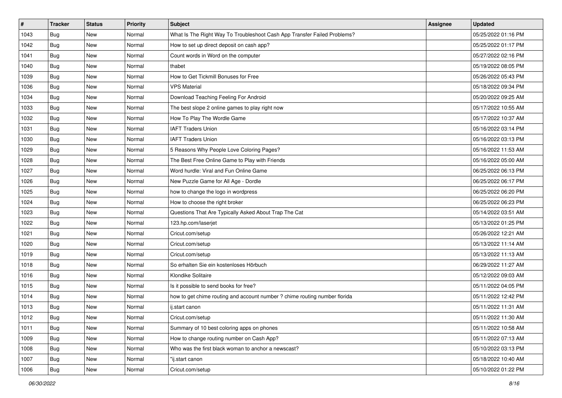| #    | <b>Tracker</b> | <b>Status</b> | <b>Priority</b> | <b>Subject</b>                                                             | <b>Assignee</b> | <b>Updated</b>      |
|------|----------------|---------------|-----------------|----------------------------------------------------------------------------|-----------------|---------------------|
| 1043 | <b>Bug</b>     | New           | Normal          | What Is The Right Way To Troubleshoot Cash App Transfer Failed Problems?   |                 | 05/25/2022 01:16 PM |
| 1042 | Bug            | New           | Normal          | How to set up direct deposit on cash app?                                  |                 | 05/25/2022 01:17 PM |
| 1041 | <b>Bug</b>     | New           | Normal          | Count words in Word on the computer                                        |                 | 05/27/2022 02:16 PM |
| 1040 | <b>Bug</b>     | New           | Normal          | thabet                                                                     |                 | 05/19/2022 08:05 PM |
| 1039 | Bug            | New           | Normal          | How to Get Tickmill Bonuses for Free                                       |                 | 05/26/2022 05:43 PM |
| 1036 | <b>Bug</b>     | New           | Normal          | <b>VPS Material</b>                                                        |                 | 05/18/2022 09:34 PM |
| 1034 | <b>Bug</b>     | New           | Normal          | Download Teaching Feeling For Android                                      |                 | 05/20/2022 09:25 AM |
| 1033 | Bug            | New           | Normal          | The best slope 2 online games to play right now                            |                 | 05/17/2022 10:55 AM |
| 1032 | <b>Bug</b>     | New           | Normal          | How To Play The Wordle Game                                                |                 | 05/17/2022 10:37 AM |
| 1031 | Bug            | New           | Normal          | <b>IAFT Traders Union</b>                                                  |                 | 05/16/2022 03:14 PM |
| 1030 | Bug            | New           | Normal          | <b>IAFT Traders Union</b>                                                  |                 | 05/16/2022 03:13 PM |
| 1029 | <b>Bug</b>     | New           | Normal          | 5 Reasons Why People Love Coloring Pages?                                  |                 | 05/16/2022 11:53 AM |
| 1028 | Bug            | New           | Normal          | The Best Free Online Game to Play with Friends                             |                 | 05/16/2022 05:00 AM |
| 1027 | <b>Bug</b>     | New           | Normal          | Word hurdle: Viral and Fun Online Game                                     |                 | 06/25/2022 06:13 PM |
| 1026 | <b>Bug</b>     | New           | Normal          | New Puzzle Game for All Age - Dordle                                       |                 | 06/25/2022 06:17 PM |
| 1025 | <b>Bug</b>     | New           | Normal          | how to change the logo in wordpress                                        |                 | 06/25/2022 06:20 PM |
| 1024 | <b>Bug</b>     | New           | Normal          | How to choose the right broker                                             |                 | 06/25/2022 06:23 PM |
| 1023 | Bug            | New           | Normal          | Questions That Are Typically Asked About Trap The Cat                      |                 | 05/14/2022 03:51 AM |
| 1022 | <b>Bug</b>     | New           | Normal          | 123.hp.com/laserjet                                                        |                 | 05/13/2022 01:25 PM |
| 1021 | <b>Bug</b>     | New           | Normal          | Cricut.com/setup                                                           |                 | 05/26/2022 12:21 AM |
| 1020 | <b>Bug</b>     | New           | Normal          | Cricut.com/setup                                                           |                 | 05/13/2022 11:14 AM |
| 1019 | <b>Bug</b>     | New           | Normal          | Cricut.com/setup                                                           |                 | 05/13/2022 11:13 AM |
| 1018 | Bug            | New           | Normal          | So erhalten Sie ein kostenloses Hörbuch                                    |                 | 06/29/2022 11:27 AM |
| 1016 | <b>Bug</b>     | New           | Normal          | Klondike Solitaire                                                         |                 | 05/12/2022 09:03 AM |
| 1015 | <b>Bug</b>     | New           | Normal          | Is it possible to send books for free?                                     |                 | 05/11/2022 04:05 PM |
| 1014 | Bug            | New           | Normal          | how to get chime routing and account number ? chime routing number florida |                 | 05/11/2022 12:42 PM |
| 1013 | <b>Bug</b>     | New           | Normal          | ij.start canon                                                             |                 | 05/11/2022 11:31 AM |
| 1012 | <b>Bug</b>     | New           | Normal          | Cricut.com/setup                                                           |                 | 05/11/2022 11:30 AM |
| 1011 | Bug            | New           | Normal          | Summary of 10 best coloring apps on phones                                 |                 | 05/11/2022 10:58 AM |
| 1009 | <b>Bug</b>     | New           | Normal          | How to change routing number on Cash App?                                  |                 | 05/11/2022 07:13 AM |
| 1008 | Bug            | New           | Normal          | Who was the first black woman to anchor a newscast?                        |                 | 05/10/2022 03:13 PM |
| 1007 | Bug            | New           | Normal          | "ij.start canon                                                            |                 | 05/18/2022 10:40 AM |
| 1006 | <b>Bug</b>     | New           | Normal          | Cricut.com/setup                                                           |                 | 05/10/2022 01:22 PM |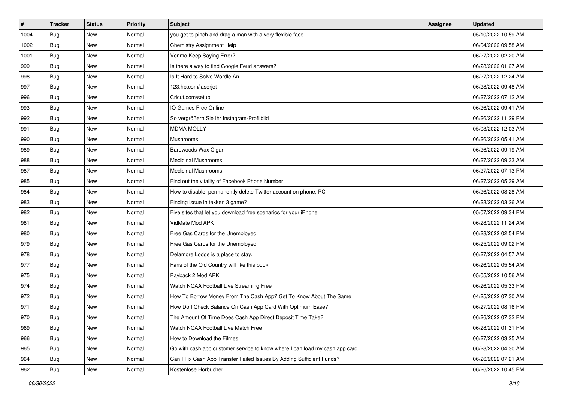| $\vert$ # | <b>Tracker</b> | <b>Status</b> | <b>Priority</b> | Subject                                                                     | <b>Assignee</b> | <b>Updated</b>      |
|-----------|----------------|---------------|-----------------|-----------------------------------------------------------------------------|-----------------|---------------------|
| 1004      | Bug            | New           | Normal          | you get to pinch and drag a man with a very flexible face                   |                 | 05/10/2022 10:59 AM |
| 1002      | <b>Bug</b>     | New           | Normal          | <b>Chemistry Assignment Help</b>                                            |                 | 06/04/2022 09:58 AM |
| 1001      | <b>Bug</b>     | New           | Normal          | Venmo Keep Saying Error?                                                    |                 | 06/27/2022 02:20 AM |
| 999       | <b>Bug</b>     | New           | Normal          | Is there a way to find Google Feud answers?                                 |                 | 06/28/2022 01:27 AM |
| 998       | <b>Bug</b>     | New           | Normal          | Is It Hard to Solve Wordle An                                               |                 | 06/27/2022 12:24 AM |
| 997       | Bug            | New           | Normal          | 123.hp.com/laserjet                                                         |                 | 06/28/2022 09:48 AM |
| 996       | Bug            | New           | Normal          | Cricut.com/setup                                                            |                 | 06/27/2022 07:12 AM |
| 993       | Bug            | New           | Normal          | IO Games Free Online                                                        |                 | 06/26/2022 09:41 AM |
| 992       | <b>Bug</b>     | New           | Normal          | So vergrößern Sie Ihr Instagram-Profilbild                                  |                 | 06/26/2022 11:29 PM |
| 991       | Bug            | New           | Normal          | <b>MDMA MOLLY</b>                                                           |                 | 05/03/2022 12:03 AM |
| 990       | <b>Bug</b>     | New           | Normal          | Mushrooms                                                                   |                 | 06/26/2022 05:41 AM |
| 989       | Bug            | New           | Normal          | Barewoods Wax Cigar                                                         |                 | 06/26/2022 09:19 AM |
| 988       | Bug            | New           | Normal          | <b>Medicinal Mushrooms</b>                                                  |                 | 06/27/2022 09:33 AM |
| 987       | <b>Bug</b>     | New           | Normal          | <b>Medicinal Mushrooms</b>                                                  |                 | 06/27/2022 07:13 PM |
| 985       | <b>Bug</b>     | New           | Normal          | Find out the vitality of Facebook Phone Number:                             |                 | 06/27/2022 05:39 AM |
| 984       | <b>Bug</b>     | New           | Normal          | How to disable, permanently delete Twitter account on phone, PC             |                 | 06/26/2022 08:28 AM |
| 983       | <b>Bug</b>     | New           | Normal          | Finding issue in tekken 3 game?                                             |                 | 06/28/2022 03:26 AM |
| 982       | <b>Bug</b>     | New           | Normal          | Five sites that let you download free scenarios for your iPhone             |                 | 05/07/2022 09:34 PM |
| 981       | <b>Bug</b>     | New           | Normal          | VidMate Mod APK                                                             |                 | 06/28/2022 11:24 AM |
| 980       | <b>Bug</b>     | New           | Normal          | Free Gas Cards for the Unemployed                                           |                 | 06/28/2022 02:54 PM |
| 979       | Bug            | New           | Normal          | Free Gas Cards for the Unemployed                                           |                 | 06/25/2022 09:02 PM |
| 978       | Bug            | New           | Normal          | Delamore Lodge is a place to stay.                                          |                 | 06/27/2022 04:57 AM |
| 977       | Bug            | New           | Normal          | Fans of the Old Country will like this book.                                |                 | 06/26/2022 05:54 AM |
| 975       | <b>Bug</b>     | New           | Normal          | Payback 2 Mod APK                                                           |                 | 05/05/2022 10:56 AM |
| 974       | Bug            | New           | Normal          | Watch NCAA Football Live Streaming Free                                     |                 | 06/26/2022 05:33 PM |
| 972       | Bug            | New           | Normal          | How To Borrow Money From The Cash App? Get To Know About The Same           |                 | 04/25/2022 07:30 AM |
| 971       | <b>Bug</b>     | New           | Normal          | How Do I Check Balance On Cash App Card With Optimum Ease?                  |                 | 06/27/2022 08:16 PM |
| 970       | Bug            | New           | Normal          | The Amount Of Time Does Cash App Direct Deposit Time Take?                  |                 | 06/26/2022 07:32 PM |
| 969       | Bug            | New           | Normal          | Watch NCAA Football Live Match Free                                         |                 | 06/28/2022 01:31 PM |
| 966       | Bug            | New           | Normal          | How to Download the Filmes                                                  |                 | 06/27/2022 03:25 AM |
| 965       | <b>Bug</b>     | New           | Normal          | Go with cash app customer service to know where I can load my cash app card |                 | 06/28/2022 04:30 AM |
| 964       | <b>Bug</b>     | New           | Normal          | Can I Fix Cash App Transfer Failed Issues By Adding Sufficient Funds?       |                 | 06/26/2022 07:21 AM |
| 962       | <b>Bug</b>     | New           | Normal          | Kostenlose Hörbücher                                                        |                 | 06/26/2022 10:45 PM |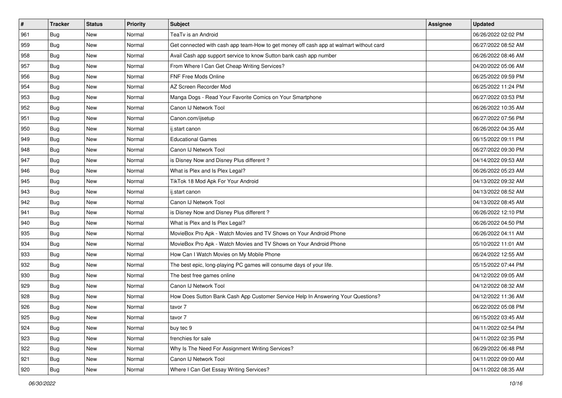| $\vert$ # | <b>Tracker</b> | <b>Status</b> | <b>Priority</b> | <b>Subject</b>                                                                         | Assignee | <b>Updated</b>      |
|-----------|----------------|---------------|-----------------|----------------------------------------------------------------------------------------|----------|---------------------|
| 961       | <b>Bug</b>     | New           | Normal          | TeaTv is an Android                                                                    |          | 06/26/2022 02:02 PM |
| 959       | <b>Bug</b>     | <b>New</b>    | Normal          | Get connected with cash app team-How to get money off cash app at walmart without card |          | 06/27/2022 08:52 AM |
| 958       | <b>Bug</b>     | New           | Normal          | Avail Cash app support service to know Sutton bank cash app number                     |          | 06/26/2022 08:46 AM |
| 957       | <b>Bug</b>     | New           | Normal          | From Where I Can Get Cheap Writing Services?                                           |          | 04/20/2022 05:06 AM |
| 956       | Bug            | <b>New</b>    | Normal          | FNF Free Mods Online                                                                   |          | 06/25/2022 09:59 PM |
| 954       | Bug            | New           | Normal          | AZ Screen Recorder Mod                                                                 |          | 06/25/2022 11:24 PM |
| 953       | Bug            | New           | Normal          | Manga Dogs - Read Your Favorite Comics on Your Smartphone                              |          | 06/27/2022 03:53 PM |
| 952       | <b>Bug</b>     | New           | Normal          | Canon IJ Network Tool                                                                  |          | 06/26/2022 10:35 AM |
| 951       | <b>Bug</b>     | New           | Normal          | Canon.com/ijsetup                                                                      |          | 06/27/2022 07:56 PM |
| 950       | Bug            | New           | Normal          | ij.start canon                                                                         |          | 06/26/2022 04:35 AM |
| 949       | <b>Bug</b>     | New           | Normal          | <b>Educational Games</b>                                                               |          | 06/15/2022 09:11 PM |
| 948       | Bug            | New           | Normal          | Canon IJ Network Tool                                                                  |          | 06/27/2022 09:30 PM |
| 947       | Bug            | New           | Normal          | is Disney Now and Disney Plus different?                                               |          | 04/14/2022 09:53 AM |
| 946       | <b>Bug</b>     | New           | Normal          | What is Plex and Is Plex Legal?                                                        |          | 06/26/2022 05:23 AM |
| 945       | <b>Bug</b>     | New           | Normal          | TikTok 18 Mod Apk For Your Android                                                     |          | 04/13/2022 09:32 AM |
| 943       | <b>Bug</b>     | New           | Normal          | ij.start canon                                                                         |          | 04/13/2022 08:52 AM |
| 942       | <b>Bug</b>     | New           | Normal          | Canon IJ Network Tool                                                                  |          | 04/13/2022 08:45 AM |
| 941       | <b>Bug</b>     | <b>New</b>    | Normal          | is Disney Now and Disney Plus different?                                               |          | 06/26/2022 12:10 PM |
| 940       | <b>Bug</b>     | New           | Normal          | What is Plex and Is Plex Legal?                                                        |          | 06/26/2022 04:50 PM |
| 935       | <b>Bug</b>     | <b>New</b>    | Normal          | MovieBox Pro Apk - Watch Movies and TV Shows on Your Android Phone                     |          | 06/26/2022 04:11 AM |
| 934       | Bug            | New           | Normal          | MovieBox Pro Apk - Watch Movies and TV Shows on Your Android Phone                     |          | 05/10/2022 11:01 AM |
| 933       | <b>Bug</b>     | <b>New</b>    | Normal          | How Can I Watch Movies on My Mobile Phone                                              |          | 06/24/2022 12:55 AM |
| 932       | Bug            | <b>New</b>    | Normal          | The best epic, long-playing PC games will consume days of your life.                   |          | 05/15/2022 07:44 PM |
| 930       | <b>Bug</b>     | New           | Normal          | The best free games online                                                             |          | 04/12/2022 09:05 AM |
| 929       | <b>Bug</b>     | New           | Normal          | Canon IJ Network Tool                                                                  |          | 04/12/2022 08:32 AM |
| 928       | Bug            | New           | Normal          | How Does Sutton Bank Cash App Customer Service Help In Answering Your Questions?       |          | 04/12/2022 11:36 AM |
| 926       | <b>Bug</b>     | New           | Normal          | tavor 7                                                                                |          | 06/22/2022 05:08 PM |
| 925       | Bug            | New           | Normal          | tavor 7                                                                                |          | 06/15/2022 03:45 AM |
| 924       | <b>Bug</b>     | New           | Normal          | buy tec 9                                                                              |          | 04/11/2022 02:54 PM |
| 923       | <b>Bug</b>     | New           | Normal          | frenchies for sale                                                                     |          | 04/11/2022 02:35 PM |
| 922       | <b>Bug</b>     | New           | Normal          | Why Is The Need For Assignment Writing Services?                                       |          | 06/29/2022 06:48 PM |
| 921       | <b>Bug</b>     | New           | Normal          | Canon IJ Network Tool                                                                  |          | 04/11/2022 09:00 AM |
| 920       | <b>Bug</b>     | New           | Normal          | Where I Can Get Essay Writing Services?                                                |          | 04/11/2022 08:35 AM |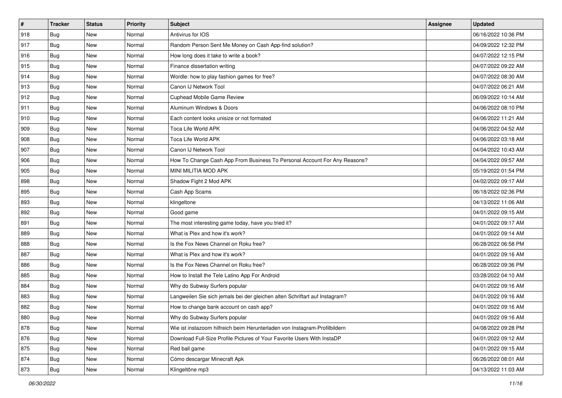| $\sharp$ | <b>Tracker</b> | <b>Status</b> | <b>Priority</b> | <b>Subject</b>                                                              | <b>Assignee</b> | <b>Updated</b>      |
|----------|----------------|---------------|-----------------|-----------------------------------------------------------------------------|-----------------|---------------------|
| 918      | <b>Bug</b>     | New           | Normal          | Antivirus for IOS                                                           |                 | 06/16/2022 10:36 PM |
| 917      | Bug            | <b>New</b>    | Normal          | Random Person Sent Me Money on Cash App-find solution?                      |                 | 04/09/2022 12:32 PM |
| 916      | Bug            | New           | Normal          | How long does it take to write a book?                                      |                 | 04/07/2022 12:15 PM |
| 915      | <b>Bug</b>     | New           | Normal          | Finance dissertation writing                                                |                 | 04/07/2022 09:22 AM |
| 914      | Bug            | New           | Normal          | Wordle: how to play fashion games for free?                                 |                 | 04/07/2022 08:30 AM |
| 913      | <b>Bug</b>     | New           | Normal          | Canon IJ Network Tool                                                       |                 | 04/07/2022 06:21 AM |
| 912      | Bug            | New           | Normal          | Cuphead Mobile Game Review                                                  |                 | 06/09/2022 10:14 AM |
| 911      | <b>Bug</b>     | New           | Normal          | Aluminum Windows & Doors                                                    |                 | 04/06/2022 08:10 PM |
| 910      | Bug            | New           | Normal          | Each content looks unisize or not formated                                  |                 | 04/06/2022 11:21 AM |
| 909      | Bug            | <b>New</b>    | Normal          | Toca Life World APK                                                         |                 | 04/06/2022 04:52 AM |
| 908      | <b>Bug</b>     | New           | Normal          | Toca Life World APK                                                         |                 | 04/06/2022 03:18 AM |
| 907      | Bug            | New           | Normal          | Canon IJ Network Tool                                                       |                 | 04/04/2022 10:43 AM |
| 906      | Bug            | New           | Normal          | How To Change Cash App From Business To Personal Account For Any Reasons?   |                 | 04/04/2022 09:57 AM |
| 905      | <b>Bug</b>     | New           | Normal          | MINI MILITIA MOD APK                                                        |                 | 05/19/2022 01:54 PM |
| 898      | <b>Bug</b>     | <b>New</b>    | Normal          | Shadow Fight 2 Mod APK                                                      |                 | 04/02/2022 09:17 AM |
| 895      | Bug            | New           | Normal          | Cash App Scams                                                              |                 | 06/18/2022 02:36 PM |
| 893      | <b>Bug</b>     | New           | Normal          | klingeltone                                                                 |                 | 04/13/2022 11:06 AM |
| 892      | Bug            | New           | Normal          | Good game                                                                   |                 | 04/01/2022 09:15 AM |
| 891      | Bug            | New           | Normal          | The most interesting game today, have you tried it?                         |                 | 04/01/2022 09:17 AM |
| 889      | Bug            | <b>New</b>    | Normal          | What is Plex and how it's work?                                             |                 | 04/01/2022 09:14 AM |
| 888      | Bug            | New           | Normal          | Is the Fox News Channel on Roku free?                                       |                 | 06/28/2022 06:58 PM |
| 887      | Bug            | New           | Normal          | What is Plex and how it's work?                                             |                 | 04/01/2022 09:16 AM |
| 886      | Bug            | New           | Normal          | Is the Fox News Channel on Roku free?                                       |                 | 06/28/2022 09:36 PM |
| 885      | <b>Bug</b>     | New           | Normal          | How to Install the Tele Latino App For Android                              |                 | 03/28/2022 04:10 AM |
| 884      | Bug            | New           | Normal          | Why do Subway Surfers popular                                               |                 | 04/01/2022 09:16 AM |
| 883      | Bug            | New           | Normal          | Langweilen Sie sich jemals bei der gleichen alten Schriftart auf Instagram? |                 | 04/01/2022 09:16 AM |
| 882      | <b>Bug</b>     | New           | Normal          | How to change bank account on cash app?                                     |                 | 04/01/2022 09:16 AM |
| 880      | I Bug          | New           | Normal          | Why do Subway Surfers popular                                               |                 | 04/01/2022 09:16 AM |
| 878      | <b>Bug</b>     | New           | Normal          | Wie ist instazoom hilfreich beim Herunterladen von Instagram-Profilbildern  |                 | 04/08/2022 09:28 PM |
| 876      | <b>Bug</b>     | New           | Normal          | Download Full-Size Profile Pictures of Your Favorite Users With InstaDP     |                 | 04/01/2022 09:12 AM |
| 875      | <b>Bug</b>     | New           | Normal          | Red ball game                                                               |                 | 04/01/2022 09:15 AM |
| 874      | Bug            | New           | Normal          | Cómo descargar Minecraft Apk                                                |                 | 06/26/2022 08:01 AM |
| 873      | <b>Bug</b>     | New           | Normal          | Klingeltöne mp3                                                             |                 | 04/13/2022 11:03 AM |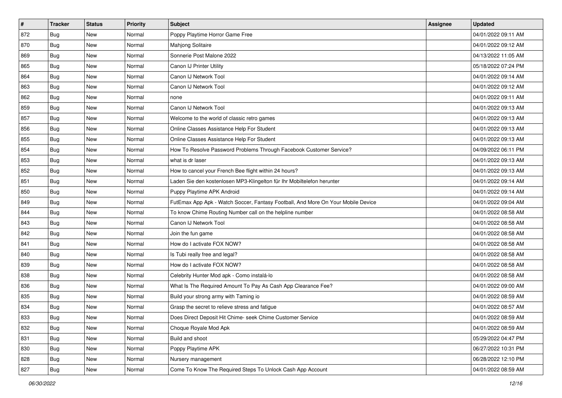| $\vert$ # | <b>Tracker</b> | <b>Status</b> | <b>Priority</b> | Subject                                                                          | Assignee | <b>Updated</b>      |
|-----------|----------------|---------------|-----------------|----------------------------------------------------------------------------------|----------|---------------------|
| 872       | <b>Bug</b>     | New           | Normal          | Poppy Playtime Horror Game Free                                                  |          | 04/01/2022 09:11 AM |
| 870       | Bug            | New           | Normal          | Mahjong Solitaire                                                                |          | 04/01/2022 09:12 AM |
| 869       | <b>Bug</b>     | New           | Normal          | Sonnerie Post Malone 2022                                                        |          | 04/13/2022 11:05 AM |
| 865       | <b>Bug</b>     | New           | Normal          | Canon IJ Printer Utility                                                         |          | 05/18/2022 07:24 PM |
| 864       | <b>Bug</b>     | New           | Normal          | Canon IJ Network Tool                                                            |          | 04/01/2022 09:14 AM |
| 863       | <b>Bug</b>     | New           | Normal          | Canon IJ Network Tool                                                            |          | 04/01/2022 09:12 AM |
| 862       | <b>Bug</b>     | New           | Normal          | none                                                                             |          | 04/01/2022 09:11 AM |
| 859       | <b>Bug</b>     | New           | Normal          | Canon IJ Network Tool                                                            |          | 04/01/2022 09:13 AM |
| 857       | Bug            | New           | Normal          | Welcome to the world of classic retro games                                      |          | 04/01/2022 09:13 AM |
| 856       | Bug            | New           | Normal          | Online Classes Assistance Help For Student                                       |          | 04/01/2022 09:13 AM |
| 855       | <b>Bug</b>     | New           | Normal          | Online Classes Assistance Help For Student                                       |          | 04/01/2022 09:13 AM |
| 854       | <b>Bug</b>     | New           | Normal          | How To Resolve Password Problems Through Facebook Customer Service?              |          | 04/09/2022 06:11 PM |
| 853       | <b>Bug</b>     | New           | Normal          | what is dr laser                                                                 |          | 04/01/2022 09:13 AM |
| 852       | <b>Bug</b>     | New           | Normal          | How to cancel your French Bee flight within 24 hours?                            |          | 04/01/2022 09:13 AM |
| 851       | Bug            | New           | Normal          | Laden Sie den kostenlosen MP3-Klingelton für Ihr Mobiltelefon herunter           |          | 04/01/2022 09:14 AM |
| 850       | <b>Bug</b>     | New           | Normal          | Puppy Playtime APK Android                                                       |          | 04/01/2022 09:14 AM |
| 849       | <b>Bug</b>     | New           | Normal          | FutEmax App Apk - Watch Soccer, Fantasy Football, And More On Your Mobile Device |          | 04/01/2022 09:04 AM |
| 844       | <b>Bug</b>     | New           | Normal          | To know Chime Routing Number call on the helpline number                         |          | 04/01/2022 08:58 AM |
| 843       | <b>Bug</b>     | New           | Normal          | Canon IJ Network Tool                                                            |          | 04/01/2022 08:58 AM |
| 842       | Bug            | New           | Normal          | Join the fun game                                                                |          | 04/01/2022 08:58 AM |
| 841       | Bug            | New           | Normal          | How do I activate FOX NOW?                                                       |          | 04/01/2022 08:58 AM |
| 840       | <b>Bug</b>     | New           | Normal          | Is Tubi really free and legal?                                                   |          | 04/01/2022 08:58 AM |
| 839       | Bug            | New           | Normal          | How do I activate FOX NOW?                                                       |          | 04/01/2022 08:58 AM |
| 838       | <b>Bug</b>     | New           | Normal          | Celebrity Hunter Mod apk - Como instalá-lo                                       |          | 04/01/2022 08:58 AM |
| 836       | Bug            | New           | Normal          | What Is The Required Amount To Pay As Cash App Clearance Fee?                    |          | 04/01/2022 09:00 AM |
| 835       | <b>Bug</b>     | New           | Normal          | Build your strong army with Taming io                                            |          | 04/01/2022 08:59 AM |
| 834       | <b>Bug</b>     | New           | Normal          | Grasp the secret to relieve stress and fatigue                                   |          | 04/01/2022 08:57 AM |
| 833       | <b>Bug</b>     | New           | Normal          | Does Direct Deposit Hit Chime- seek Chime Customer Service                       |          | 04/01/2022 08:59 AM |
| 832       | <b>Bug</b>     | New           | Normal          | Choque Royale Mod Apk                                                            |          | 04/01/2022 08:59 AM |
| 831       | <b>Bug</b>     | New           | Normal          | Build and shoot                                                                  |          | 05/29/2022 04:47 PM |
| 830       | <b>Bug</b>     | New           | Normal          | Poppy Playtime APK                                                               |          | 06/27/2022 10:31 PM |
| 828       | <b>Bug</b>     | New           | Normal          | Nursery management                                                               |          | 06/28/2022 12:10 PM |
| 827       | <b>Bug</b>     | New           | Normal          | Come To Know The Required Steps To Unlock Cash App Account                       |          | 04/01/2022 08:59 AM |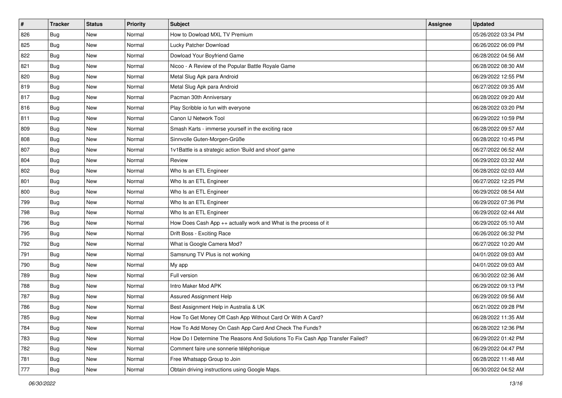| #   | <b>Tracker</b> | <b>Status</b> | <b>Priority</b> | Subject                                                                       | Assignee | <b>Updated</b>      |
|-----|----------------|---------------|-----------------|-------------------------------------------------------------------------------|----------|---------------------|
| 826 | <b>Bug</b>     | New           | Normal          | How to Dowload MXL TV Premium                                                 |          | 05/26/2022 03:34 PM |
| 825 | Bug            | New           | Normal          | Lucky Patcher Download                                                        |          | 06/26/2022 06:09 PM |
| 822 | <b>Bug</b>     | New           | Normal          | Dowload Your Boyfriend Game                                                   |          | 06/28/2022 04:56 AM |
| 821 | <b>Bug</b>     | New           | Normal          | Nicoo - A Review of the Popular Battle Royale Game                            |          | 06/28/2022 08:30 AM |
| 820 | <b>Bug</b>     | New           | Normal          | Metal Slug Apk para Android                                                   |          | 06/29/2022 12:55 PM |
| 819 | <b>Bug</b>     | New           | Normal          | Metal Slug Apk para Android                                                   |          | 06/27/2022 09:35 AM |
| 817 | Bug            | New           | Normal          | Pacman 30th Anniversary                                                       |          | 06/28/2022 09:20 AM |
| 816 | Bug            | New           | Normal          | Play Scribble io fun with everyone                                            |          | 06/28/2022 03:20 PM |
| 811 | Bug            | New           | Normal          | Canon IJ Network Tool                                                         |          | 06/29/2022 10:59 PM |
| 809 | Bug            | <b>New</b>    | Normal          | Smash Karts - immerse yourself in the exciting race                           |          | 06/28/2022 09:57 AM |
| 808 | Bug            | New           | Normal          | Sinnvolle Guten-Morgen-Grüße                                                  |          | 06/28/2022 10:45 PM |
| 807 | <b>Bug</b>     | New           | Normal          | 1v1Battle is a strategic action 'Build and shoot' game                        |          | 06/27/2022 06:52 AM |
| 804 | <b>Bug</b>     | New           | Normal          | Review                                                                        |          | 06/29/2022 03:32 AM |
| 802 | <b>Bug</b>     | New           | Normal          | Who Is an ETL Engineer                                                        |          | 06/28/2022 02:03 AM |
| 801 | Bug            | New           | Normal          | Who Is an ETL Engineer                                                        |          | 06/27/2022 12:25 PM |
| 800 | <b>Bug</b>     | New           | Normal          | Who Is an ETL Engineer                                                        |          | 06/29/2022 08:54 AM |
| 799 | <b>Bug</b>     | New           | Normal          | Who Is an ETL Engineer                                                        |          | 06/29/2022 07:36 PM |
| 798 | <b>Bug</b>     | New           | Normal          | Who Is an ETL Engineer                                                        |          | 06/29/2022 02:44 AM |
| 796 | <b>Bug</b>     | New           | Normal          | How Does Cash App ++ actually work and What is the process of it              |          | 06/29/2022 05:10 AM |
| 795 | Bug            | New           | Normal          | Drift Boss - Exciting Race                                                    |          | 06/26/2022 06:32 PM |
| 792 | Bug            | New           | Normal          | What is Google Camera Mod?                                                    |          | 06/27/2022 10:20 AM |
| 791 | <b>Bug</b>     | New           | Normal          | Samsnung TV Plus is not working                                               |          | 04/01/2022 09:03 AM |
| 790 | Bug            | New           | Normal          | My app                                                                        |          | 04/01/2022 09:03 AM |
| 789 | <b>Bug</b>     | New           | Normal          | Full version                                                                  |          | 06/30/2022 02:36 AM |
| 788 | <b>Bug</b>     | New           | Normal          | Intro Maker Mod APK                                                           |          | 06/29/2022 09:13 PM |
| 787 | Bug            | New           | Normal          | Assured Assignment Help                                                       |          | 06/29/2022 09:56 AM |
| 786 | Bug            | New           | Normal          | Best Assignment Help in Australia & UK                                        |          | 06/21/2022 09:28 PM |
| 785 | I Bug          | New           | Normal          | How To Get Money Off Cash App Without Card Or With A Card?                    |          | 06/28/2022 11:35 AM |
| 784 | <b>Bug</b>     | New           | Normal          | How To Add Money On Cash App Card And Check The Funds?                        |          | 06/28/2022 12:36 PM |
| 783 | <b>Bug</b>     | New           | Normal          | How Do I Determine The Reasons And Solutions To Fix Cash App Transfer Failed? |          | 06/29/2022 01:42 PM |
| 782 | Bug            | New           | Normal          | Comment faire une sonnerie téléphonique                                       |          | 06/29/2022 04:47 PM |
| 781 | <b>Bug</b>     | New           | Normal          | Free Whatsapp Group to Join                                                   |          | 06/28/2022 11:48 AM |
| 777 | Bug            | New           | Normal          | Obtain driving instructions using Google Maps.                                |          | 06/30/2022 04:52 AM |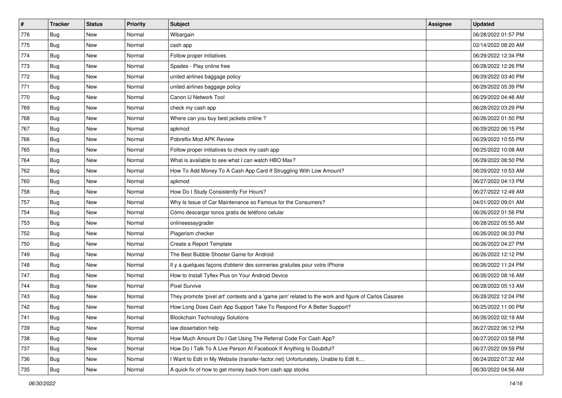| $\sharp$ | <b>Tracker</b> | <b>Status</b> | <b>Priority</b> | <b>Subject</b>                                                                                      | <b>Assignee</b> | <b>Updated</b>      |
|----------|----------------|---------------|-----------------|-----------------------------------------------------------------------------------------------------|-----------------|---------------------|
| 776      | <b>Bug</b>     | New           | Normal          | Wibargain                                                                                           |                 | 06/28/2022 01:57 PM |
| 775      | Bug            | <b>New</b>    | Normal          | cash app                                                                                            |                 | 02/14/2022 08:20 AM |
| 774      | Bug            | New           | Normal          | Follow proper initiatives                                                                           |                 | 06/29/2022 12:34 PM |
| 773      | Bug            | New           | Normal          | Spades - Play online free                                                                           |                 | 06/28/2022 12:26 PM |
| 772      | Bug            | New           | Normal          | united airlines baggage policy                                                                      |                 | 06/29/2022 03:40 PM |
| 771      | <b>Bug</b>     | New           | Normal          | united airlines baggage policy                                                                      |                 | 06/29/2022 05:39 PM |
| 770      | Bug            | New           | Normal          | Canon IJ Network Tool                                                                               |                 | 06/29/2022 04:48 AM |
| 769      | <b>Bug</b>     | New           | Normal          | check my cash app                                                                                   |                 | 06/28/2022 03:29 PM |
| 768      | Bug            | New           | Normal          | Where can you buy best jackets online?                                                              |                 | 06/26/2022 01:50 PM |
| 767      | Bug            | New           | Normal          | apkmod                                                                                              |                 | 06/29/2022 06:15 PM |
| 766      | <b>Bug</b>     | New           | Normal          | Pobreflix Mod APK Review                                                                            |                 | 06/29/2022 10:55 PM |
| 765      | <b>Bug</b>     | New           | Normal          | Follow proper initiatives to check my cash app                                                      |                 | 06/25/2022 10:08 AM |
| 764      | Bug            | New           | Normal          | What is available to see what I can watch HBO Max?                                                  |                 | 06/29/2022 08:50 PM |
| 762      | Bug            | New           | Normal          | How To Add Money To A Cash App Card If Struggling With Low Amount?                                  |                 | 06/29/2022 10:53 AM |
| 760      | Bug            | New           | Normal          | apkmod                                                                                              |                 | 06/27/2022 04:13 PM |
| 758      | <b>Bug</b>     | New           | Normal          | How Do I Study Consistently For Hours?                                                              |                 | 06/27/2022 12:49 AM |
| 757      | Bug            | New           | Normal          | Why Is Issue of Car Maintenance so Famous for the Consumers?                                        |                 | 04/01/2022 09:01 AM |
| 754      | Bug            | New           | Normal          | Cómo descargar tonos gratis de teléfono celular                                                     |                 | 06/26/2022 01:56 PM |
| 753      | Bug            | New           | Normal          | onlineessaygrader                                                                                   |                 | 06/28/2022 05:55 AM |
| 752      | Bug            | New           | Normal          | Plagerism checker                                                                                   |                 | 06/26/2022 06:33 PM |
| 750      | <b>Bug</b>     | New           | Normal          | Create a Report Template                                                                            |                 | 06/26/2022 04:27 PM |
| 749      | Bug            | New           | Normal          | The Best Bubble Shooter Game for Android                                                            |                 | 06/26/2022 12:12 PM |
| 748      | Bug            | New           | Normal          | Il y a quelques façons d'obtenir des sonneries gratuites pour votre iPhone                          |                 | 06/26/2022 11:24 PM |
| 747      | Bug            | New           | Normal          | How to Install Tyflex Plus on Your Android Device                                                   |                 | 06/26/2022 08:16 AM |
| 744      | <b>Bug</b>     | New           | Normal          | <b>Pixel Survive</b>                                                                                |                 | 06/28/2022 05:13 AM |
| 743      | Bug            | New           | Normal          | They promote 'pixel art' contests and a 'game jam' related to the work and figure of Carlos Casares |                 | 06/28/2022 12:04 PM |
| 742      | <b>Bug</b>     | New           | Normal          | How Long Does Cash App Support Take To Respond For A Better Support?                                |                 | 06/25/2022 11:00 PM |
| 741      | <b>Bug</b>     | New           | Normal          | <b>Blockchain Technology Solutions</b>                                                              |                 | 06/26/2022 02:19 AM |
| 739      | <b>Bug</b>     | New           | Normal          | law dissertation help                                                                               |                 | 06/27/2022 06:12 PM |
| 738      | Bug            | New           | Normal          | How Much Amount Do I Get Using The Referral Code For Cash App?                                      |                 | 06/27/2022 03:58 PM |
| 737      | <b>Bug</b>     | New           | Normal          | How Do I Talk To A Live Person At Facebook If Anything Is Doubtful?                                 |                 | 06/27/2022 09:59 PM |
| 736      | <b>Bug</b>     | New           | Normal          | I Want to Edit in My Website (transfer-factor.net) Unfortunately, Unable to Edit It                 |                 | 06/24/2022 07:32 AM |
| 735      | <b>Bug</b>     | New           | Normal          | A quick fix of how to get money back from cash app stocks                                           |                 | 06/30/2022 04:56 AM |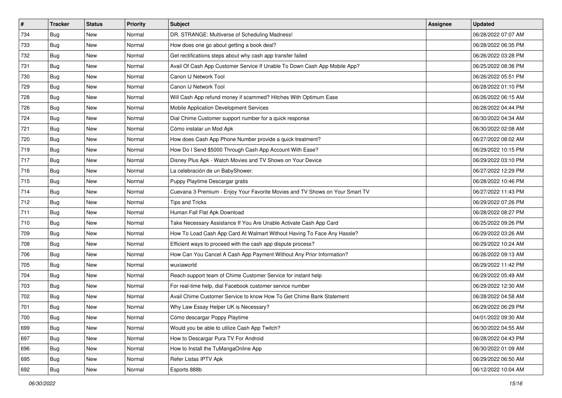| $\sharp$ | Tracker    | <b>Status</b> | <b>Priority</b> | Subject                                                                      | <b>Assignee</b> | <b>Updated</b>      |
|----------|------------|---------------|-----------------|------------------------------------------------------------------------------|-----------------|---------------------|
| 734      | <b>Bug</b> | New           | Normal          | DR. STRANGE: Multiverse of Scheduling Madness!                               |                 | 06/28/2022 07:07 AM |
| 733      | <b>Bug</b> | New           | Normal          | How does one go about getting a book deal?                                   |                 | 06/28/2022 06:35 PM |
| 732      | <b>Bug</b> | New           | Normal          | Get rectifications steps about why cash app transfer failed                  |                 | 06/26/2022 03:28 PM |
| 731      | Bug        | New           | Normal          | Avail Of Cash App Customer Service If Unable To Down Cash App Mobile App?    |                 | 06/25/2022 08:36 PM |
| 730      | <b>Bug</b> | <b>New</b>    | Normal          | Canon IJ Network Tool                                                        |                 | 06/26/2022 05:51 PM |
| 729      | <b>Bug</b> | New           | Normal          | Canon IJ Network Tool                                                        |                 | 06/28/2022 01:10 PM |
| 728      | Bug        | New           | Normal          | Will Cash App refund money if scammed? Hitches With Optimum Ease             |                 | 06/26/2022 06:15 AM |
| 726      | <b>Bug</b> | New           | Normal          | Mobile Application Development Services                                      |                 | 06/28/2022 04:44 PM |
| 724      | Bug        | New           | Normal          | Dial Chime Customer support number for a quick response                      |                 | 06/30/2022 04:34 AM |
| 721      | Bug        | New           | Normal          | Cómo instalar un Mod Apk                                                     |                 | 06/30/2022 02:08 AM |
| 720      | <b>Bug</b> | New           | Normal          | How does Cash App Phone Number provide a quick treatment?                    |                 | 06/27/2022 08:02 AM |
| 719      | <b>Bug</b> | New           | Normal          | How Do I Send \$5000 Through Cash App Account With Ease?                     |                 | 06/29/2022 10:15 PM |
| 717      | Bug        | New           | Normal          | Disney Plus Apk - Watch Movies and TV Shows on Your Device                   |                 | 06/29/2022 03:10 PM |
| 716      | <b>Bug</b> | New           | Normal          | La celebración de un BabyShower.                                             |                 | 06/27/2022 12:29 PM |
| 715      | Bug        | New           | Normal          | Puppy Playtime Descargar gratis                                              |                 | 06/28/2022 10:46 PM |
| 714      | <b>Bug</b> | New           | Normal          | Cuevana 3 Premium - Enjoy Your Favorite Movies and TV Shows on Your Smart TV |                 | 06/27/2022 11:43 PM |
| 712      | <b>Bug</b> | New           | Normal          | Tips and Tricks                                                              |                 | 06/29/2022 07:26 PM |
| 711      | Bug        | New           | Normal          | Human Fall Flat Apk Download                                                 |                 | 06/28/2022 08:27 PM |
| 710      | <b>Bug</b> | New           | Normal          | Take Necessary Assistance If You Are Unable Activate Cash App Card           |                 | 06/25/2022 09:26 PM |
| 709      | Bug        | New           | Normal          | How To Load Cash App Card At Walmart Without Having To Face Any Hassle?      |                 | 06/29/2022 03:26 AM |
| 708      | <b>Bug</b> | New           | Normal          | Efficient ways to proceed with the cash app dispute process?                 |                 | 06/29/2022 10:24 AM |
| 706      | Bug        | New           | Normal          | How Can You Cancel A Cash App Payment Without Any Prior Information?         |                 | 06/26/2022 09:13 AM |
| 705      | Bug        | New           | Normal          | wuxiaworld                                                                   |                 | 06/29/2022 11:42 PM |
| 704      | <b>Bug</b> | New           | Normal          | Reach support team of Chime Customer Service for instant help                |                 | 06/29/2022 05:49 AM |
| 703      | <b>Bug</b> | New           | Normal          | For real-time help, dial Facebook customer service number                    |                 | 06/29/2022 12:30 AM |
| 702      | Bug        | New           | Normal          | Avail Chime Customer Service to know How To Get Chime Bank Statement         |                 | 06/28/2022 04:58 AM |
| 701      | <b>Bug</b> | New           | Normal          | Why Law Essay Helper UK is Necessary?                                        |                 | 06/29/2022 06:29 PM |
| 700      | Bug        | New           | Normal          | Cómo descargar Poppy Playtime                                                |                 | 04/01/2022 09:30 AM |
| 699      | Bug        | New           | Normal          | Would you be able to utilize Cash App Twitch?                                |                 | 06/30/2022 04:55 AM |
| 697      | <b>Bug</b> | New           | Normal          | How to Descargar Pura TV For Android                                         |                 | 06/28/2022 04:43 PM |
| 696      | Bug        | New           | Normal          | How to Install the TuMangaOnline App                                         |                 | 06/30/2022 01:09 AM |
| 695      | Bug        | New           | Normal          | Refer Listas IPTV Apk                                                        |                 | 06/29/2022 06:50 AM |
| 692      | <b>Bug</b> | New           | Normal          | Esports 888b                                                                 |                 | 06/12/2022 10:04 AM |